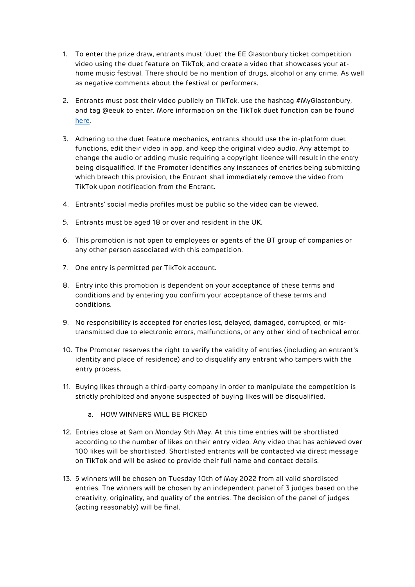- 1. To enter the prize draw, entrants must 'duet' the EE Glastonbury ticket competition video using the duet feature on TikTok, and create a video that showcases your athome music festival. There should be no mention of drugs, alcohol or any crime. As well as negative comments about the festival or performers.
- 2. Entrants must post their video publicly on TikTok, use the hashtag #MyGlastonbury, and tag @eeuk to enter. More information on the TikTok duet function can be found [here](https://support.tiktok.com/en/using-tiktok/creating-videos/duets).
- 3. Adhering to the duet feature mechanics, entrants should use the in-platform duet functions, edit their video in app, and keep the original video audio. Any attempt to change the audio or adding music requiring a copyright licence will result in the entry being disqualified. If the Promoter identifies any instances of entries being submitting which breach this provision, the Entrant shall immediately remove the video from TikTok upon notification from the Entrant.
- 4. Entrants' social media profiles must be public so the video can be viewed.
- 5. Entrants must be aged 18 or over and resident in the UK.
- 6. This promotion is not open to employees or agents of the BT group of companies or any other person associated with this competition.
- 7. One entry is permitted per TikTok account.
- 8. Entry into this promotion is dependent on your acceptance of these terms and conditions and by entering you confirm your acceptance of these terms and conditions.
- 9. No responsibility is accepted for entries lost, delayed, damaged, corrupted, or mistransmitted due to electronic errors, malfunctions, or any other kind of technical error.
- 10. The Promoter reserves the right to verify the validity of entries (including an entrant's identity and place of residence) and to disqualify any entrant who tampers with the entry process.
- 11. Buying likes through a third-party company in order to manipulate the competition is strictly prohibited and anyone suspected of buying likes will be disqualified.
	- a. HOW WINNERS WILL BE PICKED
- 12. Entries close at 9am on Monday 9th May. At this time entries will be shortlisted according to the number of likes on their entry video. Any video that has achieved over 100 likes will be shortlisted. Shortlisted entrants will be contacted via direct message on TikTok and will be asked to provide their full name and contact details.
- 13. 5 winners will be chosen on Tuesday 10th of May 2022 from all valid shortlisted entries. The winners will be chosen by an independent panel of 3 judges based on the creativity, originality, and quality of the entries. The decision of the panel of judges (acting reasonably) will be final.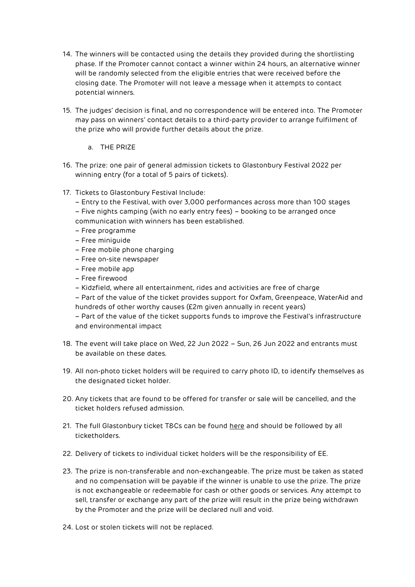- 14. The winners will be contacted using the details they provided during the shortlisting phase. If the Promoter cannot contact a winner within 24 hours, an alternative winner will be randomly selected from the eligible entries that were received before the closing date. The Promoter will not leave a message when it attempts to contact potential winners.
- 15. The judges' decision is final, and no correspondence will be entered into. The Promoter may pass on winners' contact details to a third-party provider to arrange fulfilment of the prize who will provide further details about the prize.
	- a. THE PRIZE
- 16. The prize: one pair of general admission tickets to Glastonbury Festival 2022 per winning entry (for a total of 5 pairs of tickets).
- 17. Tickets to Glastonbury Festival Include:
	- Entry to the Festival, with over 3,000 performances across more than 100 stages
	- Five nights camping (with no early entry fees) booking to be arranged once communication with winners has been established.
	- Free programme
	- Free miniguide
	- Free mobile phone charging
	- Free on-site newspaper
	- Free mobile app
	- Free firewood
	- Kidzfield, where all entertainment, rides and activities are free of charge
	- Part of the value of the ticket provides support for Oxfam, Greenpeace, WaterAid and hundreds of other worthy causes (£2m given annually in recent years)
	- Part of the value of the ticket supports funds to improve the Festival's infrastructure and environmental impact
- 18. The event will take place on Wed, 22 Jun 2022 Sun, 26 Jun 2022 and entrants must be available on these dates.
- 19. All non-photo ticket holders will be required to carry photo ID, to identify themselves as the designated ticket holder.
- 20. Any tickets that are found to be offered for transfer or sale will be cancelled, and the ticket holders refused admission.
- 21. The full Glastonbury ticket T&Cs can be found [here](https://eur02.safelinks.protection.outlook.com/?url=https%3A%2F%2Fwww.glastonburyfestivals.co.uk%2Finformation%2Ftickets%2F%23TCs&data=05%7C01%7Cimogen.wood%40bt.com%7Cc9c404c7e5f148a5efaa08da28301730%7Ca7f356889c004d5eba4129f146377ab0%7C0%7C0%7C637866484250692675%7CUnknown%7CTWFpbGZsb3d8eyJWIjoiMC4wLjAwMDAiLCJQIjoiV2luMzIiLCJBTiI6Ik1haWwiLCJXVCI6Mn0%3D%7C3000%7C%7C%7C&sdata=pxEeH73LSa1xAioxwJ4f36XI1xTpcJRcHo0MA3ibJq4%3D&reserved=0) and should be followed by all ticketholders.
- 22. Delivery of tickets to individual ticket holders will be the responsibility of EE.
- 23. The prize is non-transferable and non-exchangeable. The prize must be taken as stated and no compensation will be payable if the winner is unable to use the prize. The prize is not exchangeable or redeemable for cash or other goods or services. Any attempt to sell, transfer or exchange any part of the prize will result in the prize being withdrawn by the Promoter and the prize will be declared null and void.
- 24. Lost or stolen tickets will not be replaced.